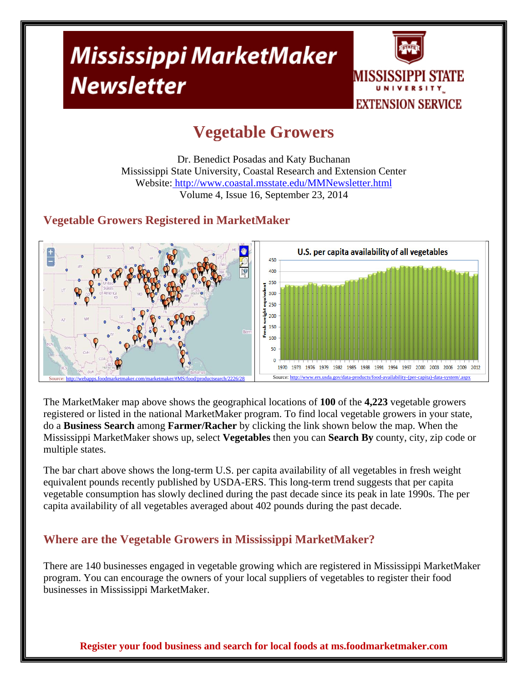# **Mississippi MarketMaker Newsletter**



# **Vegetable Growers**

Dr. Benedict Posadas and Katy Buchanan Mississippi State University, Coastal Research and Extension Center Website: http://www.coastal.msstate.edu/MMNewsletter.html Volume 4, Issue 16, September 23, 2014

### **Vegetable Growers Registered in MarketMaker**



The MarketMaker map above shows the geographical locations of **100** of the **4,223** vegetable growers registered or listed in the national MarketMaker program. To find local vegetable growers in your state, do a **Business Search** among **Farmer/Racher** by clicking the link shown below the map. When the Mississippi MarketMaker shows up, select **Vegetables** then you can **Search By** county, city, zip code or multiple states.

The bar chart above shows the long-term U.S. per capita availability of all vegetables in fresh weight equivalent pounds recently published by USDA-ERS. This long-term trend suggests that per capita vegetable consumption has slowly declined during the past decade since its peak in late 1990s. The per capita availability of all vegetables averaged about 402 pounds during the past decade.

## **Where are the Vegetable Growers in Mississippi MarketMaker?**

There are 140 businesses engaged in vegetable growing which are registered in Mississippi MarketMaker program. You can encourage the owners of your local suppliers of vegetables to register their food businesses in Mississippi MarketMaker.

**Register your food business and search for local foods at ms.foodmarketmaker.com**